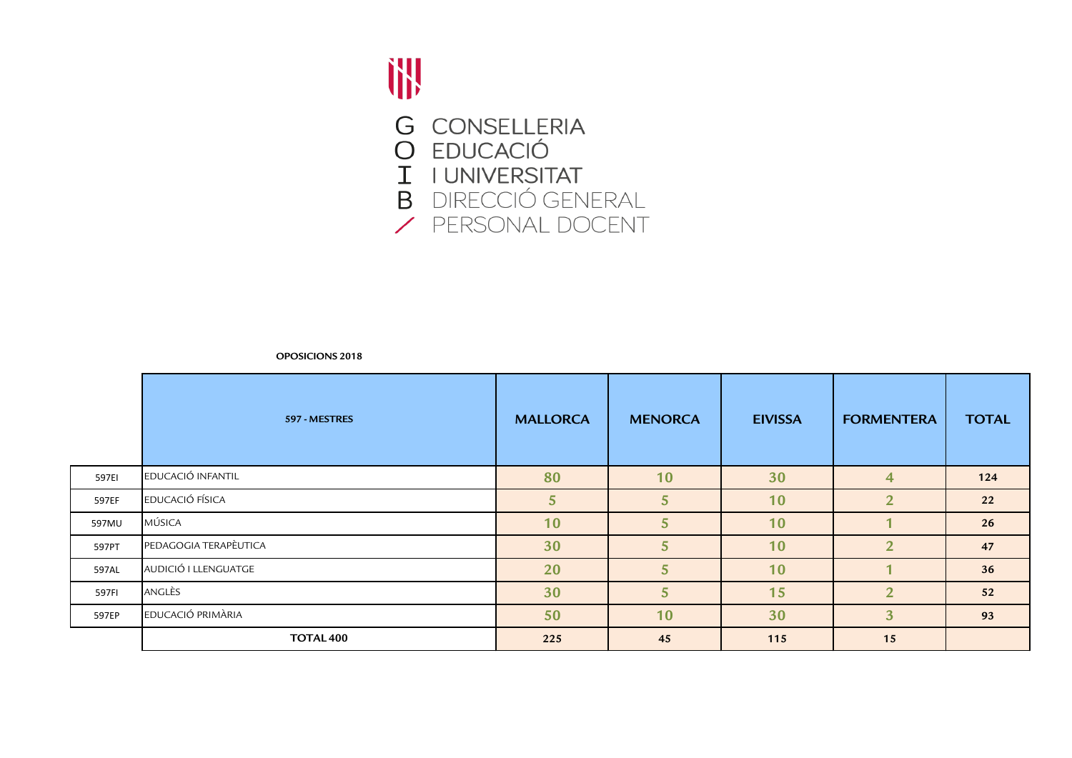

|       | 597 - MESTRES         | <b>MALLORCA</b> | <b>MENORCA</b>  | <b>EIVISSA</b> | <b>FORMENTERA</b> | <b>TOTAL</b> |
|-------|-----------------------|-----------------|-----------------|----------------|-------------------|--------------|
| 597EI | EDUCACIÓ INFANTIL     | 80              | 10              | 30             | $\overline{4}$    | 124          |
| 597EF | EDUCACIÓ FÍSICA       | 5               | $5\overline{)}$ | 10             | $\overline{2}$    | 22           |
| 597MU | MÚSICA                | 10              | 5               | 10             |                   | 26           |
| 597PT | PEDAGOGIA TERAPÈUTICA | 30              | 5               | 10             | $\overline{2}$    | 47           |
| 597AL | AUDICIÓ I LLENGUATGE  | 20              | 5 <sup>5</sup>  | 10             |                   | 36           |
| 597FI | ANGLÈS                | 30              | 5               | 15             | $\overline{2}$    | 52           |
| 597EP | EDUCACIÓ PRIMÀRIA     | 50              | 10              | 30             | 3 <sup>1</sup>    | 93           |
|       | TOTAL <sub>400</sub>  | 225             | 45              | 115            | 15                |              |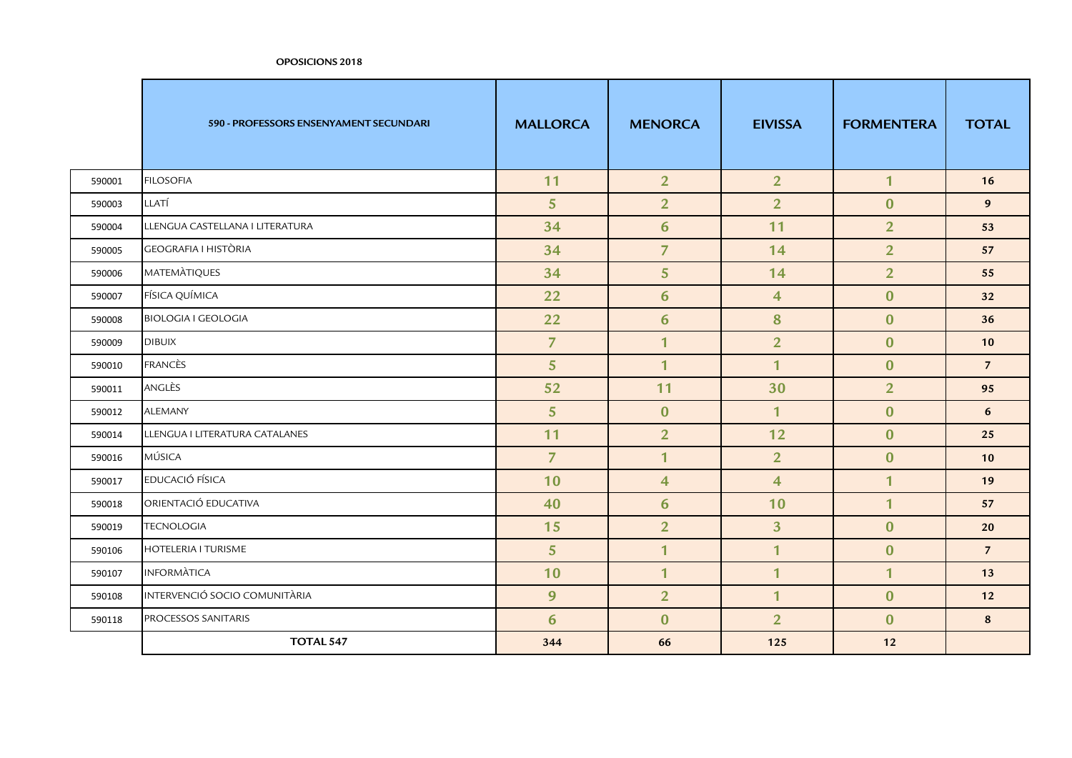|        | 590 - PROFESSORS ENSENYAMENT SECUNDARI | <b>MALLORCA</b> | <b>MENORCA</b> | <b>EIVISSA</b>          | <b>FORMENTERA</b> | <b>TOTAL</b>   |
|--------|----------------------------------------|-----------------|----------------|-------------------------|-------------------|----------------|
| 590001 | <b>FILOSOFIA</b>                       | 11              | 2 <sup>1</sup> | 2 <sup>1</sup>          | $\mathbf{1}$      | 16             |
| 590003 | LLATÍ                                  | 5 <sup>5</sup>  | $\overline{2}$ | $\overline{2}$          | $\mathbf{0}$      | 9 <sup>°</sup> |
| 590004 | LLENGUA CASTELLANA I LITERATURA        | 34              | 6              | 11                      | $\overline{2}$    | 53             |
| 590005 | <b>GEOGRAFIA I HISTÒRIA</b>            | 34              | $\overline{7}$ | 14                      | 2 <sup>1</sup>    | 57             |
| 590006 | <b>MATEMATIQUES</b>                    | 34              | 5 <sup>5</sup> | 14                      | 2 <sup>1</sup>    | 55             |
| 590007 | FÍSICA QUÍMICA                         | 22              | 6              | $\overline{4}$          | $\mathbf{0}$      | 32             |
| 590008 | <b>BIOLOGIA I GEOLOGIA</b>             | 22              | $6\phantom{1}$ | 8                       | $\bf{0}$          | 36             |
| 590009 | <b>DIBUIX</b>                          | $\overline{7}$  | $\mathbf{1}$   | $\overline{2}$          | $\mathbf{0}$      | 10             |
| 590010 | <b>FRANCÈS</b>                         | 5 <sup>5</sup>  | $\mathbf{1}$   | $\mathbf{1}$            | $\mathbf{0}$      | $\overline{7}$ |
| 590011 | ANGLÈS                                 | 52              | 11             | 30                      | 2 <sup>1</sup>    | 95             |
| 590012 | <b>ALEMANY</b>                         | 5 <sup>5</sup>  | $\mathbf{0}$   | $\mathbf{1}$            | $\overline{0}$    | 6              |
| 590014 | LLENGUA I LITERATURA CATALANES         | 11              | $\overline{2}$ | 12                      | $\mathbf{0}$      | 25             |
| 590016 | MÚSICA                                 | $\overline{7}$  | $\mathbf{1}$   | $\overline{2}$          | $\bf{0}$          | 10             |
| 590017 | EDUCACIÓ FÍSICA                        | 10              | $\overline{4}$ | $\overline{\mathbf{4}}$ | $\overline{1}$    | 19             |
| 590018 | ORIENTACIÓ EDUCATIVA                   | 40              | 6              | 10                      | $\mathbf{1}$      | 57             |
| 590019 | <b>TECNOLOGIA</b>                      | 15              | $\overline{2}$ | 3 <sup>1</sup>          | $\mathbf{0}$      | 20             |
| 590106 | <b>HOTELERIA I TURISME</b>             | 5 <sup>5</sup>  | $\mathbf{1}$   | $\overline{1}$          | $\mathbf{0}$      | $\overline{7}$ |
| 590107 | <b>INFORMATICA</b>                     | 10              | $\mathbf{1}$   | $\mathbf{1}$            | $\mathbf{1}$      | 13             |
| 590108 | INTERVENCIÓ SOCIO COMUNITÀRIA          | 9               | $\overline{2}$ | $\overline{1}$          | $\mathbf{0}$      | 12             |
| 590118 | PROCESSOS SANITARIS                    | 6               | $\bf{0}$       | $\overline{2}$          | $\mathbf{0}$      | 8              |
|        | <b>TOTAL 547</b>                       | 344             | 66             | 125                     | 12                |                |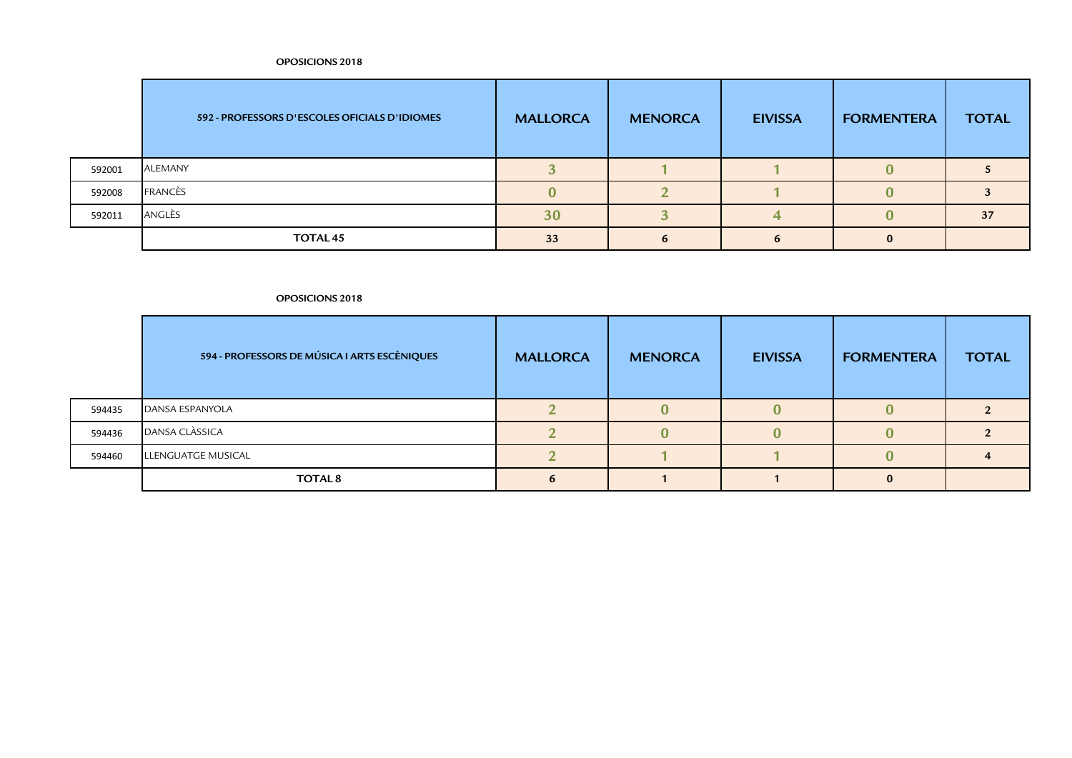|        | 592 - PROFESSORS D'ESCOLES OFICIALS D'IDIOMES | <b>MALLORCA</b> | <b>MENORCA</b> | <b>EIVISSA</b> | <b>FORMENTERA</b> | <b>TOTAL</b> |
|--------|-----------------------------------------------|-----------------|----------------|----------------|-------------------|--------------|
| 592001 | ALEMANY                                       |                 |                |                |                   |              |
| 592008 | <b>FRANCÈS</b>                                |                 |                |                |                   |              |
| 592011 | ANGLÈS                                        | 30              |                |                |                   | 37           |
|        | TOTAL <sub>45</sub>                           | 33              |                |                |                   |              |

## **OPOSICIONS 2018**

|        | 594 - PROFESSORS DE MÚSICA I ARTS ESCÈNIQUES | <b>MALLORCA</b> | <b>MENORCA</b> | <b>EIVISSA</b> | <b>FORMENTERA</b> | <b>TOTAL</b> |
|--------|----------------------------------------------|-----------------|----------------|----------------|-------------------|--------------|
| 594435 | <b>DANSA ESPANYOLA</b>                       |                 |                |                |                   |              |
| 594436 | DANSA CLÀSSICA                               |                 |                |                |                   |              |
| 594460 | LLENGUATGE MUSICAL                           |                 |                |                |                   |              |
|        | <b>TOTAL 8</b>                               |                 |                |                |                   |              |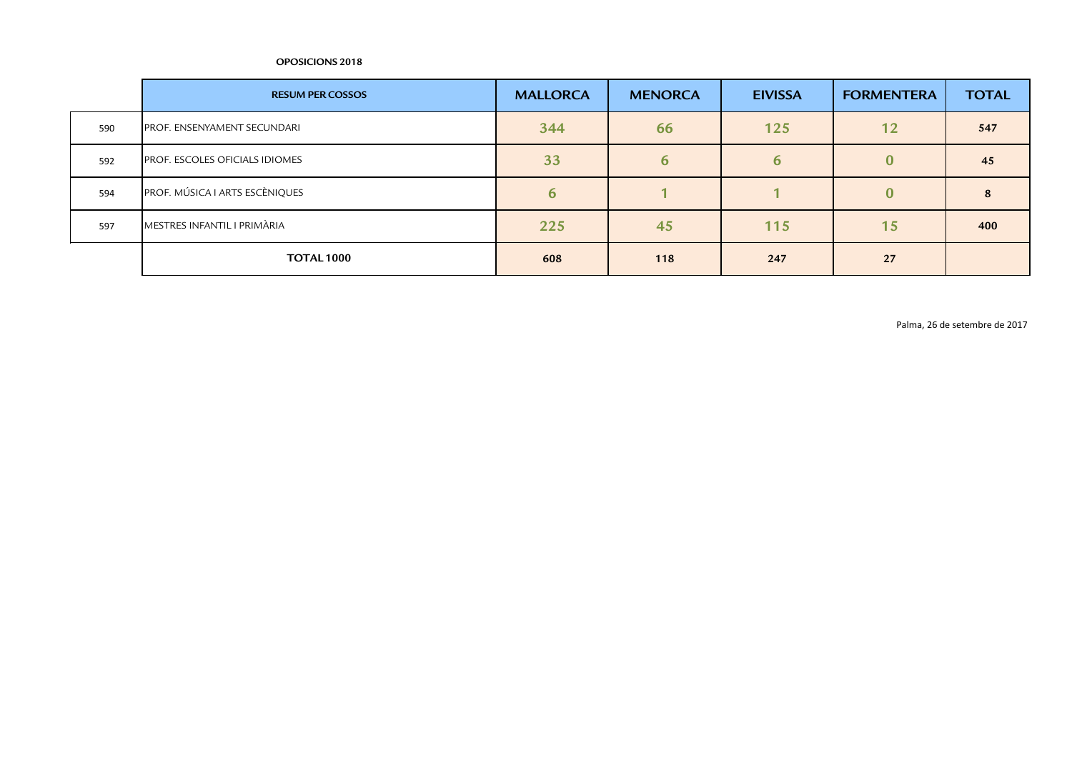|     | <b>RESUM PER COSSOS</b>               | <b>MALLORCA</b> | <b>MENORCA</b> | <b>EIVISSA</b> | <b>FORMENTERA</b> | <b>TOTAL</b> |
|-----|---------------------------------------|-----------------|----------------|----------------|-------------------|--------------|
| 590 | PROF. ENSENYAMENT SECUNDARI           | 344             | 66             | 125            | 12                | 547          |
| 592 | <b>PROF. ESCOLES OFICIALS IDIOMES</b> | 33              | 6              | b              |                   | 45           |
| 594 | PROF. MÚSICA I ARTS ESCÈNIQUES        | $\mathbf b$     |                |                | $\bf{0}$          |              |
| 597 | MESTRES INFANTIL I PRIMÀRIA           | 225             | 45             | 115            | 15 <sub>1</sub>   | 400          |
|     | <b>TOTAL 1000</b>                     | 608             | 118            | 247            | 27                |              |

Palma, 26 de setembre de 2017